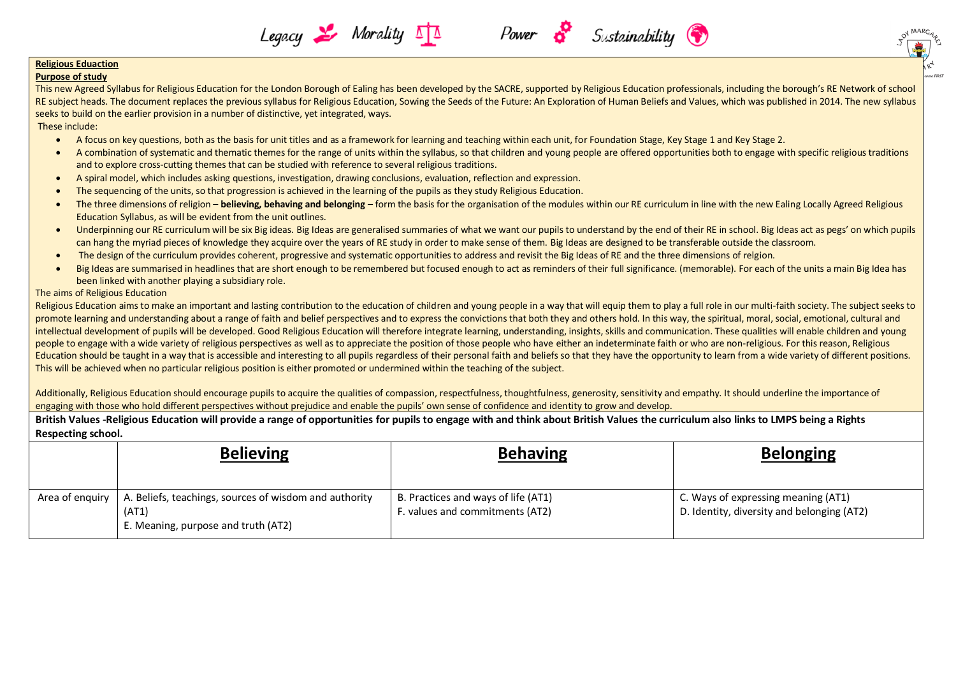#### **Religious Eduaction**

#### **Purpose of study**

Purpose of study<br>This new Agreed Syllabus for Religious Education for the London Borough of Ealing has been developed by the SACRE, supported by Religious Education professionals, including the borough's RE Network of scho RE subject heads. The document replaces the previous syllabus for Religious Education, Sowing the Seeds of the Future: An Exploration of Human Beliefs and Values, which was published in 2014. The new syllabus seeks to build on the earlier provision in a number of distinctive, yet integrated, ways.

Sustainability (

#### These include:

- A focus on key questions, both as the basis for unit titles and as a framework for learning and teaching within each unit, for Foundation Stage, Key Stage 1 and Key Stage 2.
- A combination of systematic and thematic themes for the range of units within the syllabus, so that children and young people are offered opportunities both to engage with specific religious traditions and to explore cross-cutting themes that can be studied with reference to several religious traditions.
- A spiral model, which includes asking questions, investigation, drawing conclusions, evaluation, reflection and expression.
- The sequencing of the units, so that progression is achieved in the learning of the pupils as they study Religious Education.

Legacy & Morality

- The three dimensions of religion **believing, behaving and belonging** form the basis for the organisation of the modules within our RE curriculum in line with the new Ealing Locally Agreed Religious Education Syllabus, as will be evident from the unit outlines.
- Underpinning our RE curriculum will be six Big ideas. Big Ideas are generalised summaries of what we want our pupils to understand by the end of their RE in school. Big Ideas act as pegs' on which pupils can hang the myriad pieces of knowledge they acquire over the years of RE study in order to make sense of them. Big Ideas are designed to be transferable outside the classroom.
- The design of the curriculum provides coherent, progressive and systematic opportunities to address and revisit the Big Ideas of RE and the three dimensions of relgion.
- Big Ideas are summarised in headlines that are short enough to be remembered but focused enough to act as reminders of their full significance. (memorable). For each of the units a main Big Idea has been linked with another playing a subsidiary role.

#### The aims of Religious Education

Religious Education aims to make an important and lasting contribution to the education of children and young people in a way that will equip them to play a full role in our multi-faith society. The subject seeks to promote learning and understanding about a range of faith and belief perspectives and to express the convictions that both they and others hold. In this way, the spiritual, moral, social, emotional, cultural and intellectual development of pupils will be developed. Good Religious Education will therefore integrate learning, understanding, insights, skills and communication. These qualities will enable children and young people to engage with a wide variety of religious perspectives as well as to appreciate the position of those people who have either an indeterminate faith or who are non-religious. For this reason, Religious Education should be taught in a way that is accessible and interesting to all pupils regardless of their personal faith and beliefs so that they have the opportunity to learn from a wide variety of different positions. This will be achieved when no particular religious position is either promoted or undermined within the teaching of the subject.

Additionally, Religious Education should encourage pupils to acquire the qualities of compassion, respectfulness, thoughtfulness, generosity, sensitivity and empathy. It should underline the importance of engaging with those who hold different perspectives without prejudice and enable the pupils' own sense of confidence and identity to grow and develop.

**British Values -Religious Education will provide a range of opportunities for pupils to engage with and think about British Values the curriculum also links to LMPS being a Rights Respecting school.**

|                 | <b>Believing</b>                                                                                       | <b>Behaving</b>                                                        | <b>Belonging</b>                                                                  |
|-----------------|--------------------------------------------------------------------------------------------------------|------------------------------------------------------------------------|-----------------------------------------------------------------------------------|
| Area of enguiry | A. Beliefs, teachings, sources of wisdom and authority<br>(AT1)<br>E. Meaning, purpose and truth (AT2) | B. Practices and ways of life (AT1)<br>F. values and commitments (AT2) | C. Ways of expressing meaning (AT1)<br>D. Identity, diversity and belonging (AT2) |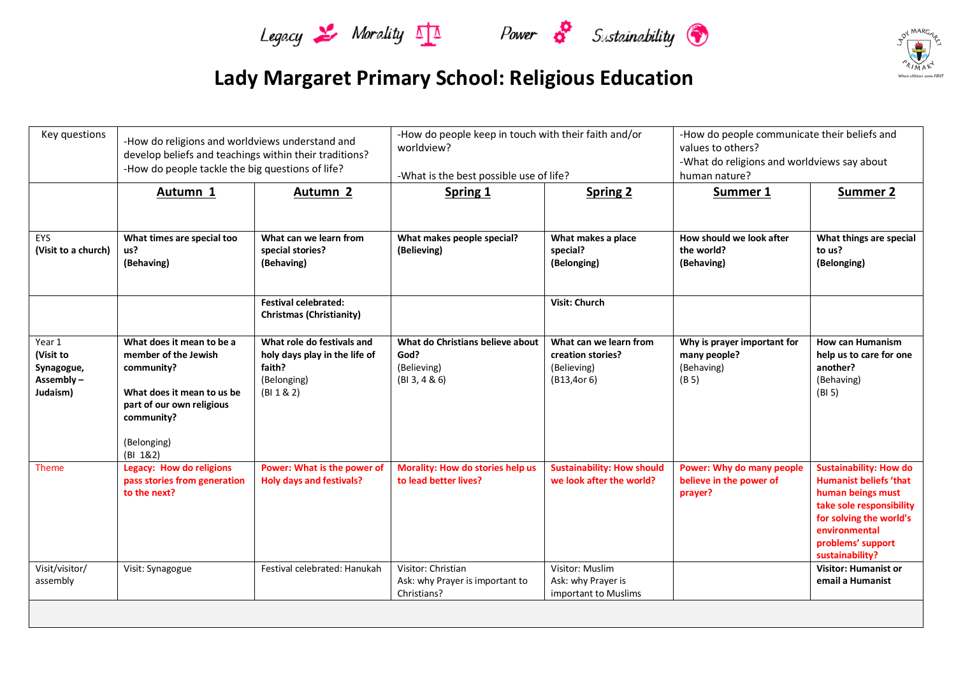





| Key questions                                              | -How do religions and worldviews understand and<br>develop beliefs and teachings within their traditions?<br>-How do people tackle the big questions of life?       |                                                                                                    | -How do people keep in touch with their faith and/or<br>worldview?<br>-What is the best possible use of life? |                                                                            | -How do people communicate their beliefs and<br>values to others?<br>-What do religions and worldviews say about<br>human nature? |                                                                                                                                                                                                     |
|------------------------------------------------------------|---------------------------------------------------------------------------------------------------------------------------------------------------------------------|----------------------------------------------------------------------------------------------------|---------------------------------------------------------------------------------------------------------------|----------------------------------------------------------------------------|-----------------------------------------------------------------------------------------------------------------------------------|-----------------------------------------------------------------------------------------------------------------------------------------------------------------------------------------------------|
|                                                            | Autumn 1                                                                                                                                                            | Autumn <sub>2</sub>                                                                                | <b>Spring 1</b>                                                                                               | <b>Spring 2</b>                                                            | Summer 1                                                                                                                          | <b>Summer 2</b>                                                                                                                                                                                     |
| EYS<br>(Visit to a church)                                 | What times are special too<br>us?<br>(Behaving)                                                                                                                     | What can we learn from<br>special stories?<br>(Behaving)                                           | What makes people special?<br>(Believing)                                                                     | What makes a place<br>special?<br>(Belonging)                              | How should we look after<br>the world?<br>(Behaving)                                                                              | What things are special<br>to us?<br>(Belonging)                                                                                                                                                    |
|                                                            |                                                                                                                                                                     | <b>Festival celebrated:</b><br><b>Christmas (Christianity)</b>                                     |                                                                                                               | Visit: Church                                                              |                                                                                                                                   |                                                                                                                                                                                                     |
| Year 1<br>(Visit to<br>Synagogue,<br>Assembly-<br>Judaism) | What does it mean to be a<br>member of the Jewish<br>community?<br>What does it mean to us be<br>part of our own religious<br>community?<br>(Belonging)<br>(BI 1&2) | What role do festivals and<br>holy days play in the life of<br>faith?<br>(Belonging)<br>(BI 1 & 2) | What do Christians believe about<br>God?<br>(Believing)<br>(BI 3, 4 & 6)                                      | What can we learn from<br>creation stories?<br>(Believing)<br>(B13, 40r 6) | Why is prayer important for<br>many people?<br>(Behaving)<br>(B 5)                                                                | <b>How can Humanism</b><br>help us to care for one<br>another?<br>(Behaving)<br>(BI 5)                                                                                                              |
| <b>Theme</b>                                               | <b>Legacy: How do religions</b><br>pass stories from generation<br>to the next?                                                                                     | Power: What is the power of<br><b>Holy days and festivals?</b>                                     | Morality: How do stories help us<br>to lead better lives?                                                     | <b>Sustainability: How should</b><br>we look after the world?              | Power: Why do many people<br>believe in the power of<br>prayer?                                                                   | <b>Sustainability: How do</b><br><b>Humanist beliefs 'that</b><br>human beings must<br>take sole responsibility<br>for solving the world's<br>environmental<br>problems' support<br>sustainability? |
| Visit/visitor/<br>assembly                                 | Visit: Synagogue                                                                                                                                                    | Festival celebrated: Hanukah                                                                       | Visitor: Christian<br>Ask: why Prayer is important to<br>Christians?                                          | Visitor: Muslim<br>Ask: why Prayer is<br>important to Muslims              |                                                                                                                                   | <b>Visitor: Humanist or</b><br>email a Humanist                                                                                                                                                     |
|                                                            |                                                                                                                                                                     |                                                                                                    |                                                                                                               |                                                                            |                                                                                                                                   |                                                                                                                                                                                                     |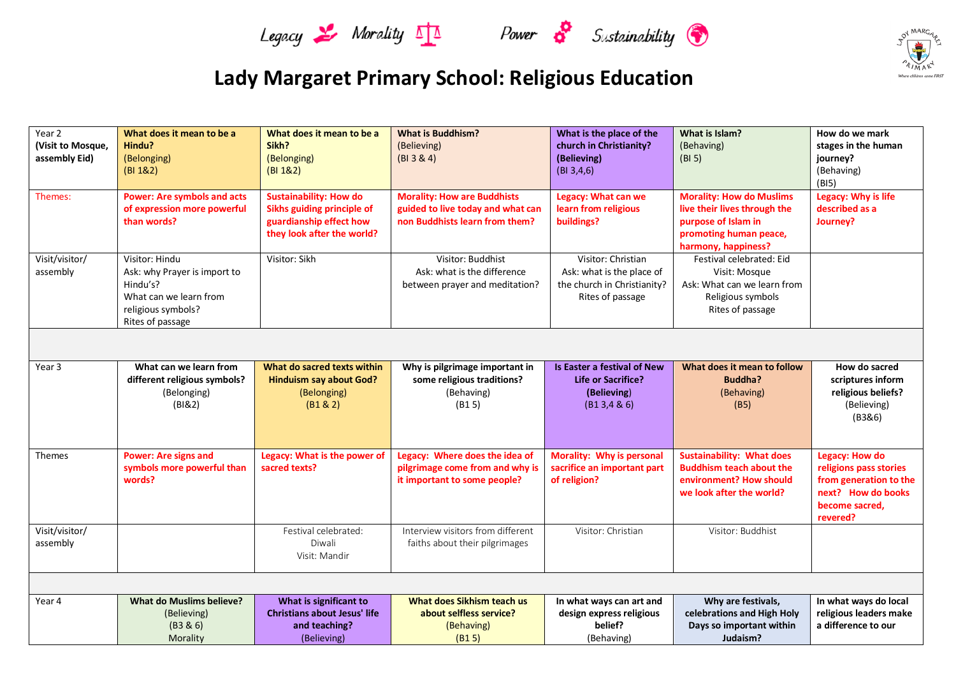





| Year 2<br>(Visit to Mosque,<br>assembly Eid) | What does it mean to be a<br>Hindu?<br>(Belonging)<br>(BI 1&2)                                                                 | What does it mean to be a<br>Sikh?<br>(Belonging)<br>(BI 1&2)                                                 | <b>What is Buddhism?</b><br>(Believing)<br>(BI 3 8 4)                                                     | What is the place of the<br>church in Christianity?<br>(Believing)<br>(BI 3, 4, 6)                 | What is Islam?<br>(Behaving)<br>(BI <sub>5</sub> )                                                                                      | How do we mark<br>stages in the human<br>journey?<br>(Behaving)<br>(B15)                                               |  |
|----------------------------------------------|--------------------------------------------------------------------------------------------------------------------------------|---------------------------------------------------------------------------------------------------------------|-----------------------------------------------------------------------------------------------------------|----------------------------------------------------------------------------------------------------|-----------------------------------------------------------------------------------------------------------------------------------------|------------------------------------------------------------------------------------------------------------------------|--|
| Themes:                                      | <b>Power: Are symbols and acts</b><br>of expression more powerful<br>than words?                                               | Sustainability: How do<br>Sikhs guiding principle of<br>guardianship effect how<br>they look after the world? | <b>Morality: How are Buddhists</b><br>guided to live today and what can<br>non Buddhists learn from them? | Legacy: What can we<br>learn from religious<br>buildings?                                          | <b>Morality: How do Muslims</b><br>live their lives through the<br>purpose of Islam in<br>promoting human peace,<br>harmony, happiness? | Legacy: Why is life<br>described as a<br>Journey?                                                                      |  |
| Visit/visitor/<br>assembly                   | Visitor: Hindu<br>Ask: why Prayer is import to<br>Hindu's?<br>What can we learn from<br>religious symbols?<br>Rites of passage | Visitor: Sikh                                                                                                 | Visitor: Buddhist<br>Ask: what is the difference<br>between prayer and meditation?                        | Visitor: Christian<br>Ask: what is the place of<br>the church in Christianity?<br>Rites of passage | Festival celebrated: Eid<br>Visit: Mosque<br>Ask: What can we learn from<br>Religious symbols<br>Rites of passage                       |                                                                                                                        |  |
|                                              |                                                                                                                                |                                                                                                               |                                                                                                           |                                                                                                    |                                                                                                                                         |                                                                                                                        |  |
| Year 3                                       | What can we learn from<br>different religious symbols?<br>(Belonging)<br>(BI&2)                                                | What do sacred texts within<br><b>Hinduism say about God?</b><br>(Belonging)<br>(B1 & 2)                      | Why is pilgrimage important in<br>some religious traditions?<br>(Behaving)<br>(B15)                       | Is Easter a festival of New<br><b>Life or Sacrifice?</b><br>(Believing)<br>(B13, 486)              | What does it mean to follow<br><b>Buddha?</b><br>(Behaving)<br>(B5)                                                                     | How do sacred<br>scriptures inform<br>religious beliefs?<br>(Believing)<br>(B3&6)                                      |  |
| Themes                                       | <b>Power: Are signs and</b><br>symbols more powerful than<br>words?                                                            | Legacy: What is the power of<br>sacred texts?                                                                 | Legacy: Where does the idea of<br>pilgrimage come from and why is<br>it important to some people?         | Morality: Why is personal<br>sacrifice an important part<br>of religion?                           | <b>Sustainability: What does</b><br><b>Buddhism teach about the</b><br>environment? How should<br>we look after the world?              | Legacy: How do<br>religions pass stories<br>from generation to the<br>next? How do books<br>become sacred,<br>revered? |  |
| Visit/visitor/<br>assembly                   |                                                                                                                                | Festival celebrated:<br>Diwali<br>Visit: Mandir                                                               | Interview visitors from different<br>faiths about their pilgrimages                                       | Visitor: Christian                                                                                 | Visitor: Buddhist                                                                                                                       |                                                                                                                        |  |
|                                              |                                                                                                                                |                                                                                                               |                                                                                                           |                                                                                                    |                                                                                                                                         |                                                                                                                        |  |
| Year 4                                       | <b>What do Muslims believe?</b><br>(Believing)<br>(B3 & 6)<br>Morality                                                         | What is significant to<br><b>Christians about Jesus' life</b><br>and teaching?<br>(Believing)                 | What does Sikhism teach us<br>about selfless service?<br>(Behaving)<br>(B15)                              | In what ways can art and<br>design express religious<br>belief?<br>(Behaving)                      | Why are festivals,<br>celebrations and High Holy<br>Days so important within<br>Judaism?                                                | In what ways do local<br>religious leaders make<br>a difference to our                                                 |  |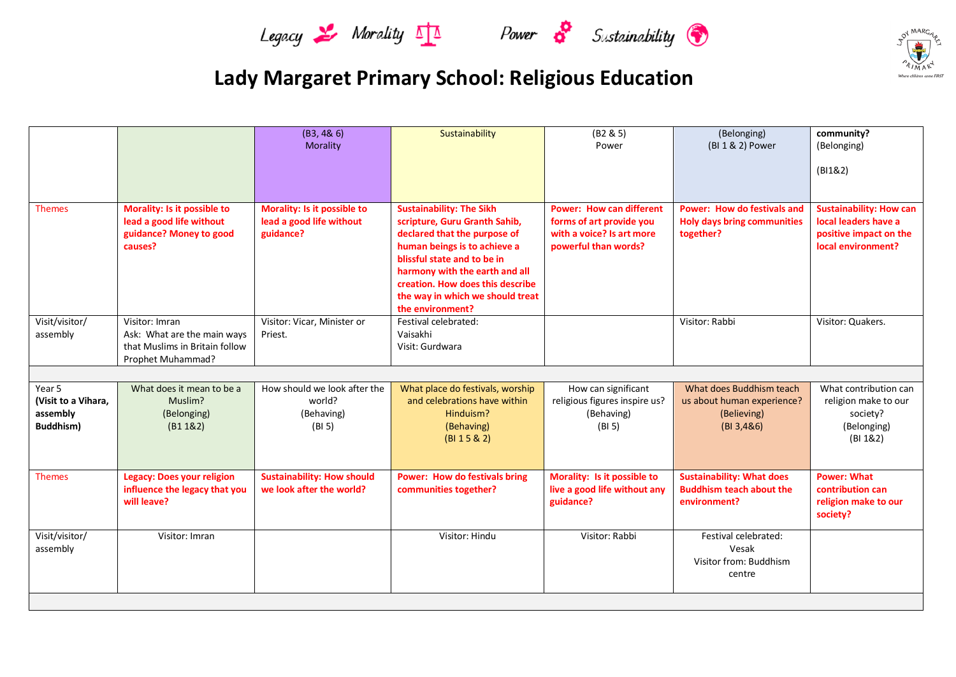







|                     |                                                         | (B3, 48, 6)                                             | Sustainability                                                   | (B2 & 5)                        | (Belonging)                                     | community?                                             |
|---------------------|---------------------------------------------------------|---------------------------------------------------------|------------------------------------------------------------------|---------------------------------|-------------------------------------------------|--------------------------------------------------------|
|                     |                                                         | Morality                                                |                                                                  | Power                           | (BI 1 & 2) Power                                | (Belonging)                                            |
|                     |                                                         |                                                         |                                                                  |                                 |                                                 |                                                        |
|                     |                                                         |                                                         |                                                                  |                                 |                                                 | (B1182)                                                |
|                     |                                                         |                                                         |                                                                  |                                 |                                                 |                                                        |
|                     |                                                         |                                                         |                                                                  | <b>Power: How can different</b> | <b>Power: How do festivals and</b>              |                                                        |
| <b>Themes</b>       | Morality: Is it possible to<br>lead a good life without | Morality: Is it possible to<br>lead a good life without | <b>Sustainability: The Sikh</b><br>scripture, Guru Granth Sahib, | forms of art provide you        |                                                 | <b>Sustainability: How can</b><br>local leaders have a |
|                     | guidance? Money to good                                 | guidance?                                               | declared that the purpose of                                     | with a voice? Is art more       | <b>Holy days bring communities</b><br>together? | positive impact on the                                 |
|                     | causes?                                                 |                                                         | human beings is to achieve a                                     | powerful than words?            |                                                 | local environment?                                     |
|                     |                                                         |                                                         | blissful state and to be in                                      |                                 |                                                 |                                                        |
|                     |                                                         |                                                         | harmony with the earth and all                                   |                                 |                                                 |                                                        |
|                     |                                                         |                                                         | creation. How does this describe                                 |                                 |                                                 |                                                        |
|                     |                                                         |                                                         | the way in which we should treat                                 |                                 |                                                 |                                                        |
|                     |                                                         |                                                         | the environment?                                                 |                                 |                                                 |                                                        |
| Visit/visitor/      | Visitor: Imran                                          | Visitor: Vicar, Minister or                             | Festival celebrated:                                             |                                 | Visitor: Rabbi                                  | Visitor: Quakers.                                      |
| assembly            | Ask: What are the main ways                             | Priest.                                                 | Vaisakhi                                                         |                                 |                                                 |                                                        |
|                     | that Muslims in Britain follow                          |                                                         | Visit: Gurdwara                                                  |                                 |                                                 |                                                        |
|                     | Prophet Muhammad?                                       |                                                         |                                                                  |                                 |                                                 |                                                        |
|                     |                                                         |                                                         |                                                                  |                                 |                                                 |                                                        |
| Year 5              | What does it mean to be a                               | How should we look after the                            | What place do festivals, worship                                 | How can significant             | What does Buddhism teach                        | What contribution can                                  |
| (Visit to a Vihara, | Muslim?                                                 | world?                                                  | and celebrations have within                                     | religious figures inspire us?   | us about human experience?                      | religion make to our                                   |
| assembly            | (Belonging)                                             | (Behaving)                                              | Hinduism?                                                        | (Behaving)                      | (Believing)                                     | society?                                               |
| <b>Buddhism)</b>    | (B1 182)                                                | (BI <sub>5</sub> )                                      | (Behaving)                                                       | (BI 5)                          | (BI 3, 486)                                     | (Belonging)                                            |
|                     |                                                         |                                                         | (BI 15 & 2)                                                      |                                 |                                                 | (BI 1&2)                                               |
|                     |                                                         |                                                         |                                                                  |                                 |                                                 |                                                        |
|                     |                                                         |                                                         |                                                                  |                                 |                                                 |                                                        |
| <b>Themes</b>       | <b>Legacy: Does your religion</b>                       | <b>Sustainability: How should</b>                       | <b>Power: How do festivals bring</b>                             | Morality: Is it possible to     | <b>Sustainability: What does</b>                | <b>Power: What</b>                                     |
|                     | influence the legacy that you                           | we look after the world?                                | communities together?                                            | live a good life without any    | <b>Buddhism teach about the</b>                 | contribution can                                       |
|                     | will leave?                                             |                                                         |                                                                  | guidance?                       | environment?                                    | religion make to our                                   |
|                     |                                                         |                                                         |                                                                  |                                 |                                                 | society?                                               |
| Visit/visitor/      | Visitor: Imran                                          |                                                         | Visitor: Hindu                                                   | Visitor: Rabbi                  | Festival celebrated:                            |                                                        |
| assembly            |                                                         |                                                         |                                                                  |                                 | Vesak                                           |                                                        |
|                     |                                                         |                                                         |                                                                  |                                 | Visitor from: Buddhism                          |                                                        |
|                     |                                                         |                                                         |                                                                  |                                 | centre                                          |                                                        |
|                     |                                                         |                                                         |                                                                  |                                 |                                                 |                                                        |
|                     |                                                         |                                                         |                                                                  |                                 |                                                 |                                                        |
|                     |                                                         |                                                         |                                                                  |                                 |                                                 |                                                        |